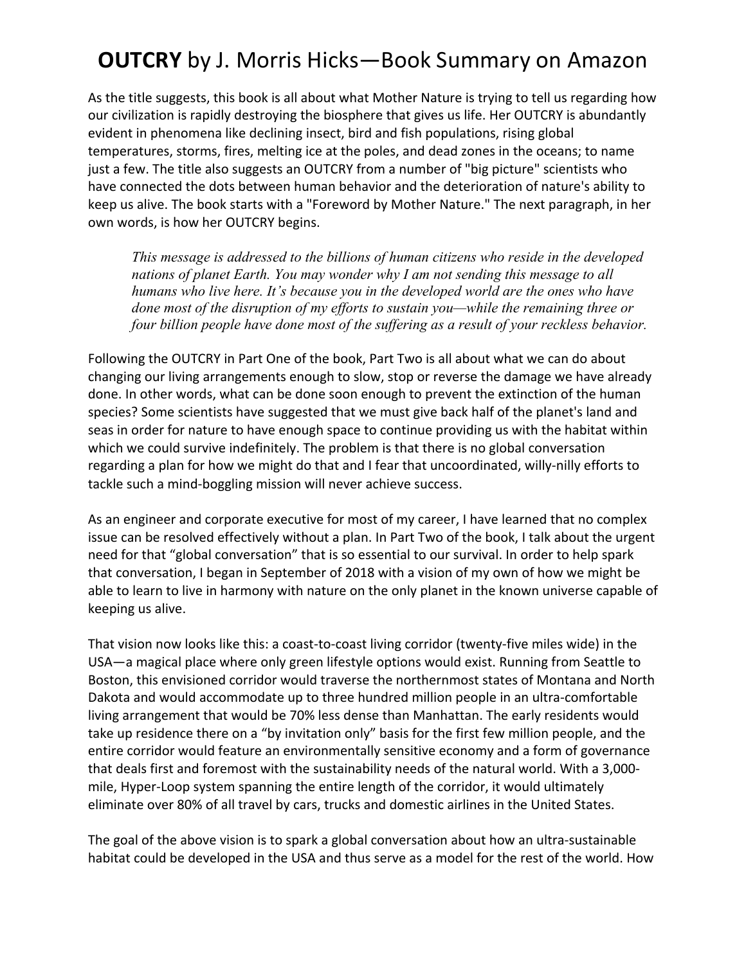# **OUTCRY** by J. Morris Hicks—Book Summary on Amazon

As the title suggests, this book is all about what Mother Nature is trying to tell us regarding how our civilization is rapidly destroying the biosphere that gives us life. Her OUTCRY is abundantly evident in phenomena like declining insect, bird and fish populations, rising global temperatures, storms, fires, melting ice at the poles, and dead zones in the oceans; to name just a few. The title also suggests an OUTCRY from a number of "big picture" scientists who have connected the dots between human behavior and the deterioration of nature's ability to keep us alive. The book starts with a "Foreword by Mother Nature." The next paragraph, in her own words, is how her OUTCRY begins.

*This message is addressed to the billions of human citizens who reside in the developed nations of planet Earth. You may wonder why I am not sending this message to all humans who live here. It's because you in the developed world are the ones who have done most of the disruption of my efforts to sustain you—while the remaining three or four billion people have done most of the suffering as a result of your reckless behavior.*

Following the OUTCRY in Part One of the book, Part Two is all about what we can do about changing our living arrangements enough to slow, stop or reverse the damage we have already done. In other words, what can be done soon enough to prevent the extinction of the human species? Some scientists have suggested that we must give back half of the planet's land and seas in order for nature to have enough space to continue providing us with the habitat within which we could survive indefinitely. The problem is that there is no global conversation regarding a plan for how we might do that and I fear that uncoordinated, willy-nilly efforts to tackle such a mind-boggling mission will never achieve success.

As an engineer and corporate executive for most of my career, I have learned that no complex issue can be resolved effectively without a plan. In Part Two of the book, I talk about the urgent need for that "global conversation" that is so essential to our survival. In order to help spark that conversation, I began in September of 2018 with a vision of my own of how we might be able to learn to live in harmony with nature on the only planet in the known universe capable of keeping us alive.

That vision now looks like this: a coast-to-coast living corridor (twenty-five miles wide) in the USA—a magical place where only green lifestyle options would exist. Running from Seattle to Boston, this envisioned corridor would traverse the northernmost states of Montana and North Dakota and would accommodate up to three hundred million people in an ultra-comfortable living arrangement that would be 70% less dense than Manhattan. The early residents would take up residence there on a "by invitation only" basis for the first few million people, and the entire corridor would feature an environmentally sensitive economy and a form of governance that deals first and foremost with the sustainability needs of the natural world. With a 3,000 mile, Hyper-Loop system spanning the entire length of the corridor, it would ultimately eliminate over 80% of all travel by cars, trucks and domestic airlines in the United States.

The goal of the above vision is to spark a global conversation about how an ultra-sustainable habitat could be developed in the USA and thus serve as a model for the rest of the world. How